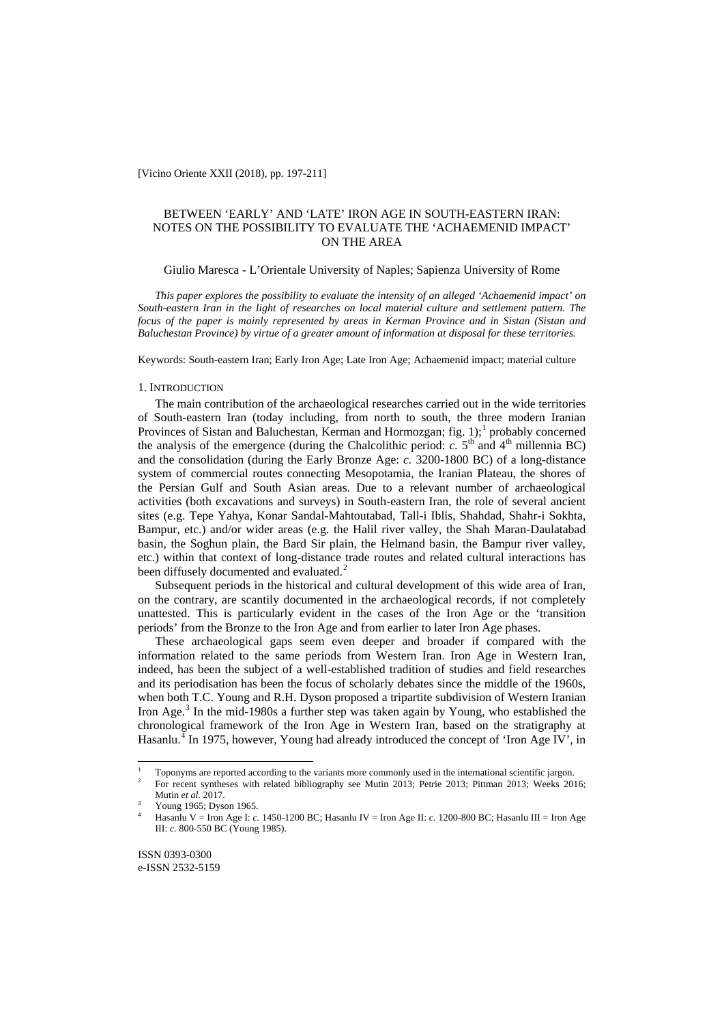[Vicino Oriente XXII (2018), pp. 197-211]

## BETWEEN 'EARLY' AND 'LATE' IRON AGE IN SOUTH-EASTERN IRAN: NOTES ON THE POSSIBILITY TO EVALUATE THE 'ACHAEMENID IMPACT' ON THE AREA

### Giulio Maresca - L'Orientale University of Naples; Sapienza University of Rome

*This paper explores the possibility to evaluate the intensity of an alleged 'Achaemenid impact' on South-eastern Iran in the light of researches on local material culture and settlement pattern. The focus of the paper is mainly represented by areas in Kerman Province and in Sistan (Sistan and Baluchestan Province) by virtue of a greater amount of information at disposal for these territories.*

Keywords: South-eastern Iran; Early Iron Age; Late Iron Age; Achaemenid impact; material culture

### 1. INTRODUCTION

The main contribution of the archaeological researches carried out in the wide territories of South-eastern Iran (today including, from north to south, the three modern Iranian Provinces of Sistan and Baluchestan, Kerman and Hormozgan; fig.  $1$ ;<sup>1</sup> probably concerned the analysis of the emergence (during the Chalcolithic period:  $c$ .  $5<sup>th</sup>$  and  $4<sup>th</sup>$  millennia BC) and the consolidation (during the Early Bronze Age: *c.* 3200-1800 BC) of a long-distance system of commercial routes connecting Mesopotamia, the Iranian Plateau, the shores of the Persian Gulf and South Asian areas. Due to a relevant number of archaeological activities (both excavations and surveys) in South-eastern Iran, the role of several ancient sites (e.g. Tepe Yahya, Konar Sandal-Mahtoutabad, Tall-i Iblis, Shahdad, Shahr-i Sokhta, Bampur, etc.) and/or wider areas (e.g. the Halil river valley, the Shah Maran-Daulatabad basin, the Soghun plain, the Bard Sir plain, the Helmand basin, the Bampur river valley, etc.) within that context of long-distance trade routes and related cultural interactions has been diffusely documented and evaluated.<sup>[2](#page-0-0)</sup>

Subsequent periods in the historical and cultural development of this wide area of Iran, on the contrary, are scantily documented in the archaeological records, if not completely unattested. This is particularly evident in the cases of the Iron Age or the 'transition periods' from the Bronze to the Iron Age and from earlier to later Iron Age phases.

These archaeological gaps seem even deeper and broader if compared with the information related to the same periods from Western Iran. Iron Age in Western Iran, indeed, has been the subject of a well-established tradition of studies and field researches and its periodisation has been the focus of scholarly debates since the middle of the 1960s, when both T.C. Young and R.H. Dyson proposed a tripartite subdivision of Western Iranian Iron Age. $3$  In the mid-1980s a further step was taken again by Young, who established the chronological framework of the Iron Age in Western Iran, based on the stratigraphy at Hasanlu.<sup>[4](#page-0-2)</sup> In 1975, however, Young had already introduced the concept of 'Iron Age IV', in

<span id="page-0-3"></span><span id="page-0-0"></span><sup>&</sup>lt;sup>1</sup> Toponyms are reported according to the variants more commonly used in the international scientific jargon.<br><sup>2</sup> Expressed surfaces with related bibliography as Matin 2012, Datais 2012, Ditures 2012, Wesler 20

<sup>2</sup> For recent syntheses with related bibliography see Mutin 2013; Petrie 2013; Pittman 2013; Weeks 2016; Mutin *et al.* 2017.

<sup>3</sup> Young 1965; Dyson 1965.

<span id="page-0-2"></span><span id="page-0-1"></span><sup>4</sup> Hasanlu V = Iron Age I: *c.* 1450-1200 BC; Hasanlu IV = Iron Age II: *c.* 1200-800 BC; Hasanlu III = Iron Age III: *c.* 800-550 BC (Young 1985).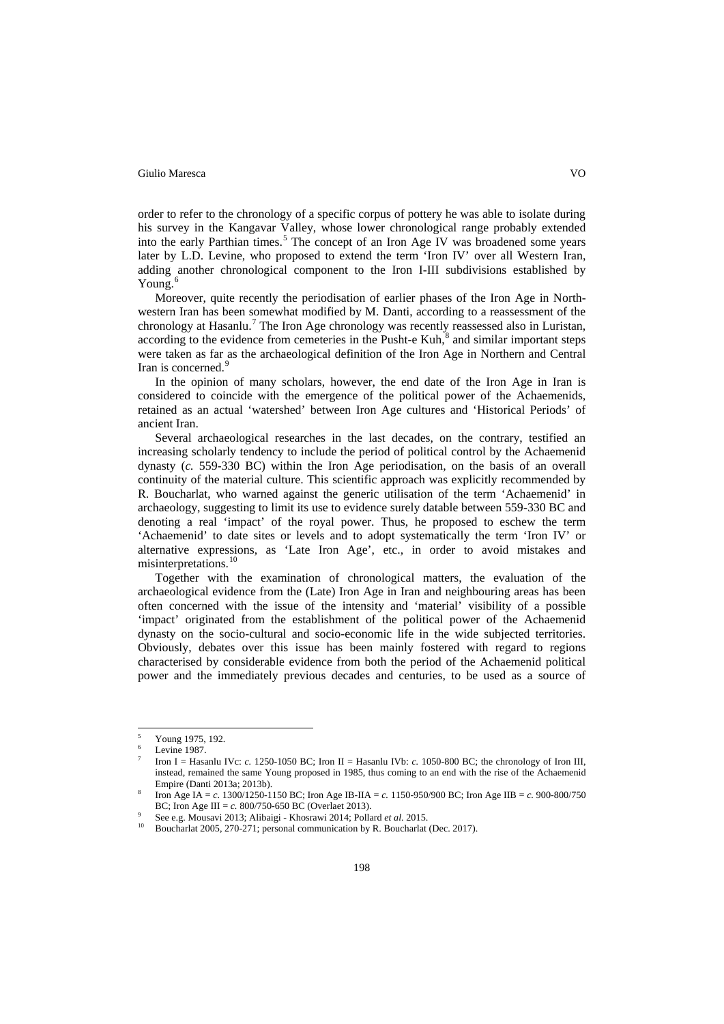order to refer to the chronology of a specific corpus of pottery he was able to isolate during his survey in the Kangavar Valley, whose lower chronological range probably extended into the early Parthian times.<sup>[5](#page-0-3)</sup> The concept of an Iron Age IV was broadened some years later by L.D. Levine, who proposed to extend the term 'Iron IV' over all Western Iran, adding another chronological component to the Iron I-III subdivisions established by Young. $<sup>6</sup>$  $<sup>6</sup>$  $<sup>6</sup>$ </sup>

Moreover, quite recently the periodisation of earlier phases of the Iron Age in Northwestern Iran has been somewhat modified by M. Danti, according to a reassessment of the chronology at Hasanlu.<sup>[7](#page-1-1)</sup> The Iron Age chronology was recently reassessed also in Luristan, according to the evidence from cemeteries in the Pusht-e Kuh, $\frac{8}{3}$  $\frac{8}{3}$  $\frac{8}{3}$  and similar important steps were taken as far as the archaeological definition of the Iron Age in Northern and Central Iran is concerned.<sup>[9](#page-1-3)</sup>

In the opinion of many scholars, however, the end date of the Iron Age in Iran is considered to coincide with the emergence of the political power of the Achaemenids, retained as an actual 'watershed' between Iron Age cultures and 'Historical Periods' of ancient Iran.

Several archaeological researches in the last decades, on the contrary, testified an increasing scholarly tendency to include the period of political control by the Achaemenid dynasty (*c.* 559-330 BC) within the Iron Age periodisation, on the basis of an overall continuity of the material culture. This scientific approach was explicitly recommended by R. Boucharlat, who warned against the generic utilisation of the term 'Achaemenid' in archaeology, suggesting to limit its use to evidence surely datable between 559-330 BC and denoting a real 'impact' of the royal power. Thus, he proposed to eschew the term 'Achaemenid' to date sites or levels and to adopt systematically the term 'Iron IV' or alternative expressions, as 'Late Iron Age', etc., in order to avoid mistakes and misinterpretations.<sup>[10](#page-1-4)</sup>

Together with the examination of chronological matters, the evaluation of the archaeological evidence from the (Late) Iron Age in Iran and neighbouring areas has been often concerned with the issue of the intensity and 'material' visibility of a possible 'impact' originated from the establishment of the political power of the Achaemenid dynasty on the socio-cultural and socio-economic life in the wide subjected territories. Obviously, debates over this issue has been mainly fostered with regard to regions characterised by considerable evidence from both the period of the Achaemenid political power and the immediately previous decades and centuries, to be used as a source of

<span id="page-1-5"></span> <sup>5</sup> Young 1975, 192.

Levine 1987.

<span id="page-1-1"></span><span id="page-1-0"></span><sup>7</sup> Iron I = Hasanlu IVc: *c.* 1250-1050 BC; Iron II = Hasanlu IVb: *c.* 1050-800 BC; the chronology of Iron III, instead, remained the same Young proposed in 1985, thus coming to an end with the rise of the Achaemenid Empire (Danti 2013a; 2013b).

<span id="page-1-2"></span><sup>8</sup> Iron Age IA = *c.* 1300/1250-1150 BC; Iron Age IB-IIA = *c.* 1150-950/900 BC; Iron Age IIB = *c.* 900-800/750 BC; Iron Age III =  $c$ . 800/750-650 BC (Overlaet 2013).

<span id="page-1-3"></span><sup>9</sup> See e.g. Mousavi 2013; Alibaigi - Khosrawi 2014; Pollard *et al.* 2015.

<span id="page-1-4"></span>Boucharlat 2005, 270-271; personal communication by R. Boucharlat (Dec. 2017).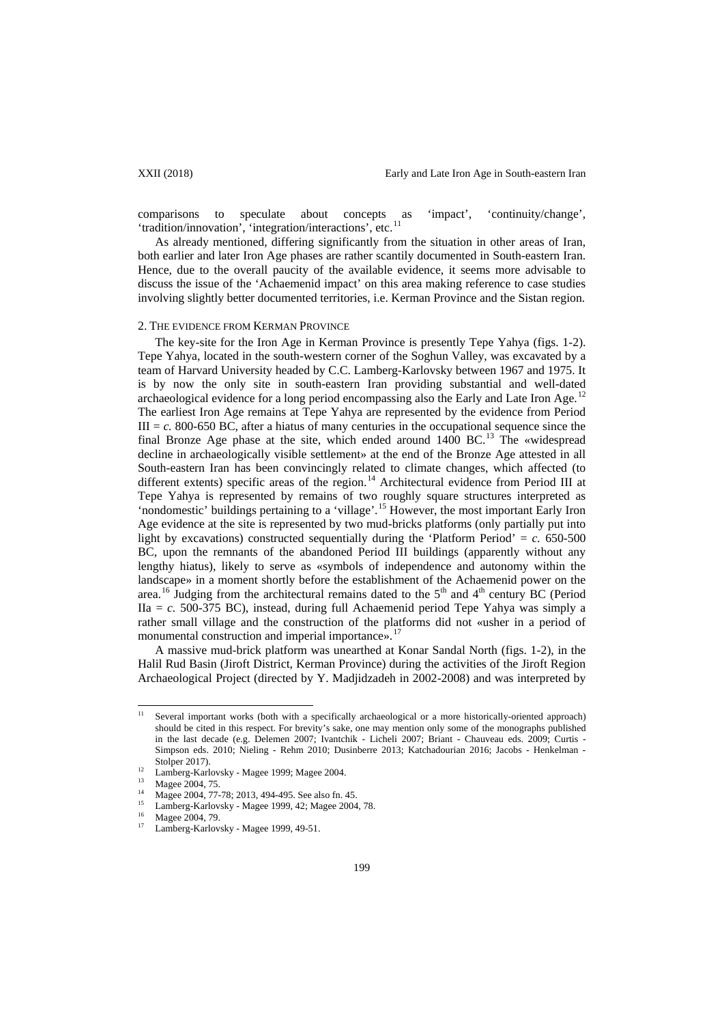comparisons to speculate about concepts as 'impact', 'continuity/change', 'tradition/innovation', 'integration/interactions', etc.<sup>[11](#page-1-5)</sup>

As already mentioned, differing significantly from the situation in other areas of Iran, both earlier and later Iron Age phases are rather scantily documented in South-eastern Iran. Hence, due to the overall paucity of the available evidence, it seems more advisable to discuss the issue of the 'Achaemenid impact' on this area making reference to case studies involving slightly better documented territories, i.e. Kerman Province and the Sistan region.

### 2. THE EVIDENCE FROM KERMAN PROVINCE

The key-site for the Iron Age in Kerman Province is presently Tepe Yahya (figs. 1-2). Tepe Yahya, located in the south-western corner of the Soghun Valley, was excavated by a team of Harvard University headed by C.C. Lamberg-Karlovsky between 1967 and 1975. It is by now the only site in south-eastern Iran providing substantial and well-dated archaeological evidence for a long period encompassing also the Early and Late Iron Age.<sup>[12](#page-2-0)</sup> The earliest Iron Age remains at Tepe Yahya are represented by the evidence from Period  $III = c$ . 800-650 BC, after a hiatus of many centuries in the occupational sequence since the final Bronze Age phase at the site, which ended around  $1400$  BC.<sup>[13](#page-2-1)</sup> The «widespread decline in archaeologically visible settlement» at the end of the Bronze Age attested in all South-eastern Iran has been convincingly related to climate changes, which affected (to different extents) specific areas of the region.<sup>[14](#page-2-2)</sup> Architectural evidence from Period III at Tepe Yahya is represented by remains of two roughly square structures interpreted as 'nondomestic' buildings pertaining to a 'village'.<sup>[15](#page-2-3)</sup> However, the most important Early Iron Age evidence at the site is represented by two mud-bricks platforms (only partially put into light by excavations) constructed sequentially during the 'Platform Period' =  $c$ . 650-500 BC, upon the remnants of the abandoned Period III buildings (apparently without any lengthy hiatus), likely to serve as «symbols of independence and autonomy within the landscape» in a moment shortly before the establishment of the Achaemenid power on the area.<sup>[16](#page-2-4)</sup> Judging from the architectural remains dated to the  $5<sup>th</sup>$  and  $4<sup>th</sup>$  century BC (Period  $IIa = c$ . 500-375 BC), instead, during full Achaemenid period Tepe Yahya was simply a rather small village and the construction of the platforms did not «usher in a period of monumental construction and imperial importance».<sup>1</sup>

A massive mud-brick platform was unearthed at Konar Sandal North (figs. 1-2), in the Halil Rud Basin (Jiroft District, Kerman Province) during the activities of the Jiroft Region Archaeological Project (directed by Y. Madjidzadeh in 2002-2008) and was interpreted by

<span id="page-2-6"></span><sup>&</sup>lt;sup>11</sup> Several important works (both with a specifically archaeological or a more historically-oriented approach) should be cited in this respect. For brevity's sake, one may mention only some of the monographs published in the last decade (e.g. Delemen 2007; Ivantchik - Licheli 2007; Briant - Chauveau eds. 2009; Curtis - Simpson eds. 2010; Nieling - Rehm 2010; Dusinberre 2013; Katchadourian 2016; Jacobs - Henkelman - Stolper 2017).

<span id="page-2-0"></span> $\frac{12}{13}$  Lamberg-Karlovsky - Magee 1999; Magee 2004.

Magee 2004, 75.

<span id="page-2-2"></span><span id="page-2-1"></span><sup>&</sup>lt;sup>14</sup> Magee 2004, 77-78; 2013, 494-495. See also fn. 45.

<span id="page-2-3"></span><sup>&</sup>lt;sup>15</sup> Lamberg-Karlovsky - Magee 1999, 42; Magee 2004, 78.

 $^{16}$  Magee 2004, 79.

<span id="page-2-5"></span><span id="page-2-4"></span>Lamberg-Karlovsky - Magee 1999, 49-51.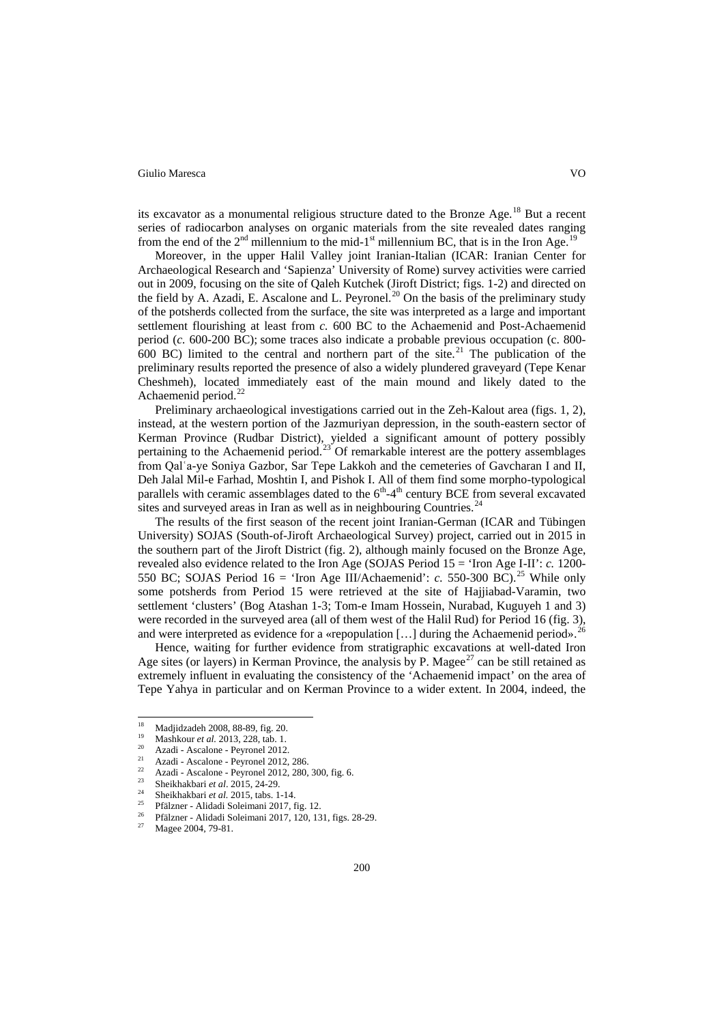its excavator as a monumental religious structure dated to the Bronze Age.<sup>[18](#page-2-6)</sup> But a recent series of radiocarbon analyses on organic materials from the site revealed dates ranging from the end of the  $2<sup>nd</sup>$  millennium to the mid-1<sup>st</sup> millennium BC, that is in the Iron Age.

Moreover, in the upper Halil Valley joint Iranian-Italian (ICAR: Iranian Center for Archaeological Research and 'Sapienza' University of Rome) survey activities were carried out in 2009, focusing on the site of Qaleh Kutchek (Jiroft District; figs. 1-2) and directed on the field by A. Azadi, E. Ascalone and L. Peyronel.<sup>[20](#page-3-1)</sup> On the basis of the preliminary study of the potsherds collected from the surface, the site was interpreted as a large and important settlement flourishing at least from *c.* 600 BC to the Achaemenid and Post-Achaemenid period (*c.* 600-200 BC); some traces also indicate a probable previous occupation (c. 800- 600 BC) limited to the central and northern part of the site.<sup>[21](#page-3-2)</sup> The publication of the preliminary results reported the presence of also a widely plundered graveyard (Tepe Kenar Cheshmeh), located immediately east of the main mound and likely dated to the Achaemenid period.<sup>[22](#page-3-3)</sup>

Preliminary archaeological investigations carried out in the Zeh-Kalout area (figs. 1, 2), instead, at the western portion of the Jazmuriyan depression, in the south-eastern sector of Kerman Province (Rudbar District), yielded a significant amount of pottery possibly pertaining to the Achaemenid period.<sup>[23](#page-3-4)</sup> Of remarkable interest are the pottery assemblages from Qalʿa-ye Soniya Gazbor, Sar Tepe Lakkoh and the cemeteries of Gavcharan I and II, Deh Jalal Mil-e Farhad, Moshtin I, and Pishok I. All of them find some morpho-typological parallels with ceramic assemblages dated to the  $6<sup>th</sup>-4<sup>th</sup>$  century BCE from several excavated sites and surveyed areas in Iran as well as in neighbouring Countries.<sup>[24](#page-3-5)</sup>

The results of the first season of the recent joint Iranian-German (ICAR and Tübingen University) SOJAS (South-of-Jiroft Archaeological Survey) project, carried out in 2015 in the southern part of the Jiroft District (fig. 2), although mainly focused on the Bronze Age, revealed also evidence related to the Iron Age (SOJAS Period 15 = 'Iron Age I-II': *c.* 1200- 550 BC; SOJAS Period 16 = 'Iron Age III/Achaemenid': *c.* 550-300 BC).<sup>[25](#page-3-6)</sup> While only some potsherds from Period 15 were retrieved at the site of Hajjiabad-Varamin, two settlement 'clusters' (Bog Atashan 1-3; Tom-e Imam Hossein, Nurabad, Kuguyeh 1 and 3) were recorded in the surveyed area (all of them west of the Halil Rud) for Period 16 (fig. 3), and were interpreted as evidence for a «repopulation [...] during the Achaemenid period».<sup>[26](#page-3-7)</sup>

Hence, waiting for further evidence from stratigraphic excavations at well-dated Iron Age sites (or layers) in Kerman Province, the analysis by P. Magee<sup>[27](#page-3-8)</sup> can be still retained as extremely influent in evaluating the consistency of the 'Achaemenid impact' on the area of Tepe Yahya in particular and on Kerman Province to a wider extent. In 2004, indeed, the

<span id="page-3-9"></span><sup>&</sup>lt;sup>18</sup> Madjidzadeh 2008, 88-89, fig. 20.

<sup>19</sup> Mashkour *et al.* 2013, 228, tab. 1.

<span id="page-3-0"></span><sup>&</sup>lt;sup>20</sup> Azadi - Ascalone - Peyronel 2012.

<span id="page-3-3"></span><span id="page-3-2"></span><span id="page-3-1"></span> $^{21}$  Azadi - Ascalone - Peyronel 2012, 286.

<sup>&</sup>lt;sup>22</sup> Azadi - Ascalone - Peyronel 2012, 280, 300, fig. 6.<br><sup>23</sup> Shailahari 11, 2015, 24, 20.

<sup>23</sup> Sheikhakbari *et al*. 2015, 24-29.

<span id="page-3-5"></span><span id="page-3-4"></span><sup>&</sup>lt;sup>24</sup> Sheikhakbari *et al.* 2015, tabs. 1-14.

<span id="page-3-7"></span><span id="page-3-6"></span><sup>&</sup>lt;sup>25</sup> Pfälzner - Alidadi Soleimani 2017, fig. 12.

<sup>26</sup> Pfälzner - Alidadi Soleimani 2017, 120, 131, figs. 28-29.

<span id="page-3-8"></span>Magee 2004, 79-81.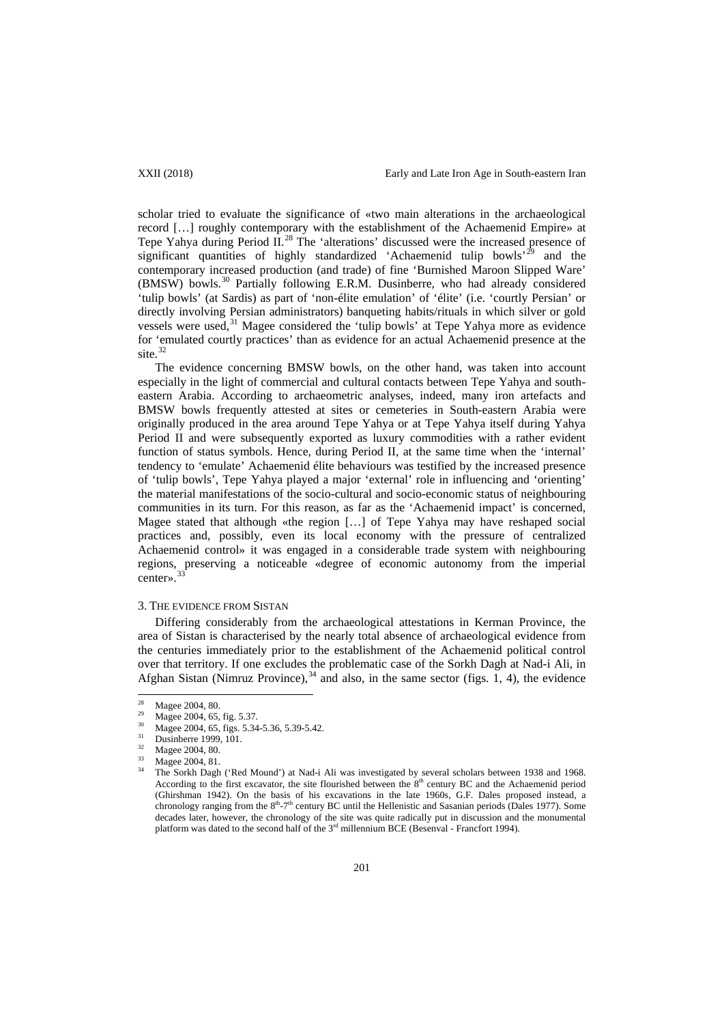scholar tried to evaluate the significance of «two main alterations in the archaeological record […] roughly contemporary with the establishment of the Achaemenid Empire» at Tepe Yahya during Period  $II^{28}$  $II^{28}$  $II^{28}$ . The 'alterations' discussed were the increased presence of significant quantities of highly standardized 'Achaemenid tulip bowls'<sup>[29](#page-4-0)</sup> and the contemporary increased production (and trade) of fine 'Burnished Maroon Slipped Ware' (BMSW) bowls.[30](#page-4-1) Partially following E.R.M. Dusinberre, who had already considered 'tulip bowls' (at Sardis) as part of 'non-élite emulation' of 'élite' (i.e. 'courtly Persian' or directly involving Persian administrators) banqueting habits/rituals in which silver or gold vessels were used,<sup>[31](#page-4-2)</sup> Magee considered the 'tulip bowls' at Tepe Yahya more as evidence for 'emulated courtly practices' than as evidence for an actual Achaemenid presence at the site.<sup>[32](#page-4-3)</sup>

The evidence concerning BMSW bowls, on the other hand, was taken into account especially in the light of commercial and cultural contacts between Tepe Yahya and southeastern Arabia. According to archaeometric analyses, indeed, many iron artefacts and BMSW bowls frequently attested at sites or cemeteries in South-eastern Arabia were originally produced in the area around Tepe Yahya or at Tepe Yahya itself during Yahya Period II and were subsequently exported as luxury commodities with a rather evident function of status symbols. Hence, during Period II, at the same time when the 'internal' tendency to 'emulate' Achaemenid élite behaviours was testified by the increased presence of 'tulip bowls', Tepe Yahya played a major 'external' role in influencing and 'orienting' the material manifestations of the socio-cultural and socio-economic status of neighbouring communities in its turn. For this reason, as far as the 'Achaemenid impact' is concerned, Magee stated that although «the region […] of Tepe Yahya may have reshaped social practices and, possibly, even its local economy with the pressure of centralized Achaemenid control» it was engaged in a considerable trade system with neighbouring regions, preserving a noticeable «degree of economic autonomy from the imperial center».<sup>3</sup>

## 3. THE EVIDENCE FROM SISTAN

Differing considerably from the archaeological attestations in Kerman Province, the area of Sistan is characterised by the nearly total absence of archaeological evidence from the centuries immediately prior to the establishment of the Achaemenid political control over that territory. If one excludes the problematic case of the Sorkh Dagh at Nad-i Ali, in Afghan Sistan (Nimruz Province),  $34$  and also, in the same sector (figs. 1, 4), the evidence

<span id="page-4-6"></span> <sup>28</sup> Magee 2004, 80.

<span id="page-4-0"></span><sup>&</sup>lt;sup>29</sup> Magee 2004, 65, fig. 5.37.

<span id="page-4-2"></span><span id="page-4-1"></span><sup>&</sup>lt;sup>30</sup> Magee 2004, 65, figs. 5.34-5.36, 5.39-5.42.

Dusinberre 1999, 101.

<span id="page-4-4"></span><span id="page-4-3"></span> $\frac{32}{33}$  Magee 2004, 80.

<span id="page-4-5"></span>Magee 2004, 81.

<sup>34</sup> The Sorkh Dagh ('Red Mound') at Nad-i Ali was investigated by several scholars between 1938 and 1968. According to the first excavator, the site flourished between the  $8<sup>th</sup>$  century BC and the Achaemenid period (Ghirshman 1942). On the basis of his excavations in the late 1960s, G.F. Dales proposed instead, a chronology ranging from the  $8<sup>th</sup> - 7<sup>th</sup>$  century BC until the Hellenistic and Sasanian periods (Dales 1977). Some decades later, however, the chronology of the site was quite radically put in discussion and the monumental platform was dated to the second half of the 3rd millennium BCE (Besenval - Francfort 1994).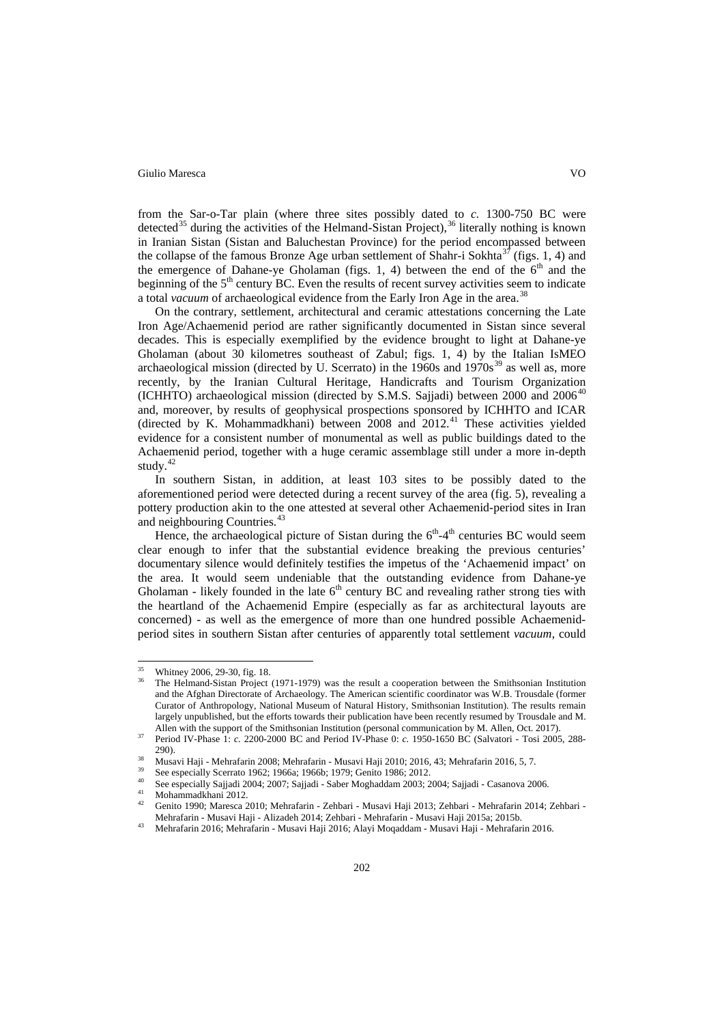from the Sar-o-Tar plain (where three sites possibly dated to *c.* 1300-750 BC were detected<sup>[35](#page-4-6)</sup> during the activities of the Helmand-Sistan Project),  $36$  literally nothing is known in Iranian Sistan (Sistan and Baluchestan Province) for the period encompassed between the collapse of the famous Bronze Age urban settlement of Shahr-i Sokhta<sup>[37](#page-5-1)</sup> (figs. 1, 4) and the emergence of Dahane-ye Gholaman (figs. 1, 4) between the end of the  $6<sup>th</sup>$  and the beginning of the  $5<sup>th</sup>$  century BC. Even the results of recent survey activities seem to indicate a total *vacuum* of archaeological evidence from the Early Iron Age in the area.<sup>[38](#page-5-2)</sup>

On the contrary, settlement, architectural and ceramic attestations concerning the Late Iron Age/Achaemenid period are rather significantly documented in Sistan since several decades. This is especially exemplified by the evidence brought to light at Dahane-ye Gholaman (about 30 kilometres southeast of Zabul; figs. 1, 4) by the Italian IsMEO archaeological mission (directed by U. Scerrato) in the  $1960s$  and  $1970s<sup>39</sup>$  $1970s<sup>39</sup>$  $1970s<sup>39</sup>$  as well as, more recently, by the Iranian Cultural Heritage, Handicrafts and Tourism Organization (ICHHTO) archaeological mission (directed by S.M.S. Sajjadi) between 2000 and 2006<sup>[40](#page-5-4)</sup> and, moreover, by results of geophysical prospections sponsored by ICHHTO and ICAR (directed by K. Mohammadkhani) between  $2008$  and  $2012.<sup>41</sup>$  $2012.<sup>41</sup>$  $2012.<sup>41</sup>$  These activities yielded evidence for a consistent number of monumental as well as public buildings dated to the Achaemenid period, together with a huge ceramic assemblage still under a more in-depth study. $42$ 

In southern Sistan, in addition, at least 103 sites to be possibly dated to the aforementioned period were detected during a recent survey of the area (fig. 5), revealing a pottery production akin to the one attested at several other Achaemenid-period sites in Iran and neighbouring Countries.<sup>[43](#page-5-7)</sup>

Hence, the archaeological picture of Sistan during the  $6<sup>th</sup>-4<sup>th</sup>$  centuries BC would seem clear enough to infer that the substantial evidence breaking the previous centuries' documentary silence would definitely testifies the impetus of the 'Achaemenid impact' on the area. It would seem undeniable that the outstanding evidence from Dahane-ye Gholaman - likely founded in the late  $6<sup>th</sup>$  century BC and revealing rather strong ties with the heartland of the Achaemenid Empire (especially as far as architectural layouts are concerned) - as well as the emergence of more than one hundred possible Achaemenidperiod sites in southern Sistan after centuries of apparently total settlement *vacuum*, could

<span id="page-5-0"></span>Whitney 2006, 29-30, fig. 18.

<sup>36</sup> The Helmand-Sistan Project (1971-1979) was the result a cooperation between the Smithsonian Institution and the Afghan Directorate of Archaeology. The American scientific coordinator was W.B. Trousdale (former Curator of Anthropology, National Museum of Natural History, Smithsonian Institution). The results remain largely unpublished, but the efforts towards their publication have been recently resumed by Trousdale and M. Allen with the support of the Smithsonian Institution (personal communication by M. Allen, Oct. 2017).

<span id="page-5-1"></span><sup>37</sup> Period IV-Phase 1: *c.* 2200-2000 BC and Period IV-Phase 0: *c.* 1950-1650 BC (Salvatori - Tosi 2005, 288- 290).

<sup>&</sup>lt;sup>38</sup> Musavi Haji - Mehrafarin 2008; Mehrafarin - Musavi Haji 2010; 2016, 43; Mehrafarin 2016, 5, 7.

<span id="page-5-4"></span><span id="page-5-3"></span><span id="page-5-2"></span><sup>39</sup> See especially Scerrato 1962; 1966a; 1966b; 1979; Genito 1986; 2012.

<sup>40</sup> See especially Sajjadi 2004; 2007; Sajjadi - Saber Moghaddam 2003; 2004; Sajjadi - Casanova 2006.

<span id="page-5-5"></span> $^{41}$  Mohammadkhani 2012.

<span id="page-5-6"></span><sup>42</sup> Genito 1990; Maresca 2010; Mehrafarin - Zehbari - Musavi Haji 2013; Zehbari - Mehrafarin 2014; Zehbari - Mehrafarin - Musavi Haji - Alizadeh 2014; Zehbari - Mehrafarin - Musavi Haji 2015a; 2015b.

<span id="page-5-7"></span><sup>43</sup> Mehrafarin 2016; Mehrafarin - Musavi Haji 2016; Alayi Moqaddam - Musavi Haji - Mehrafarin 2016.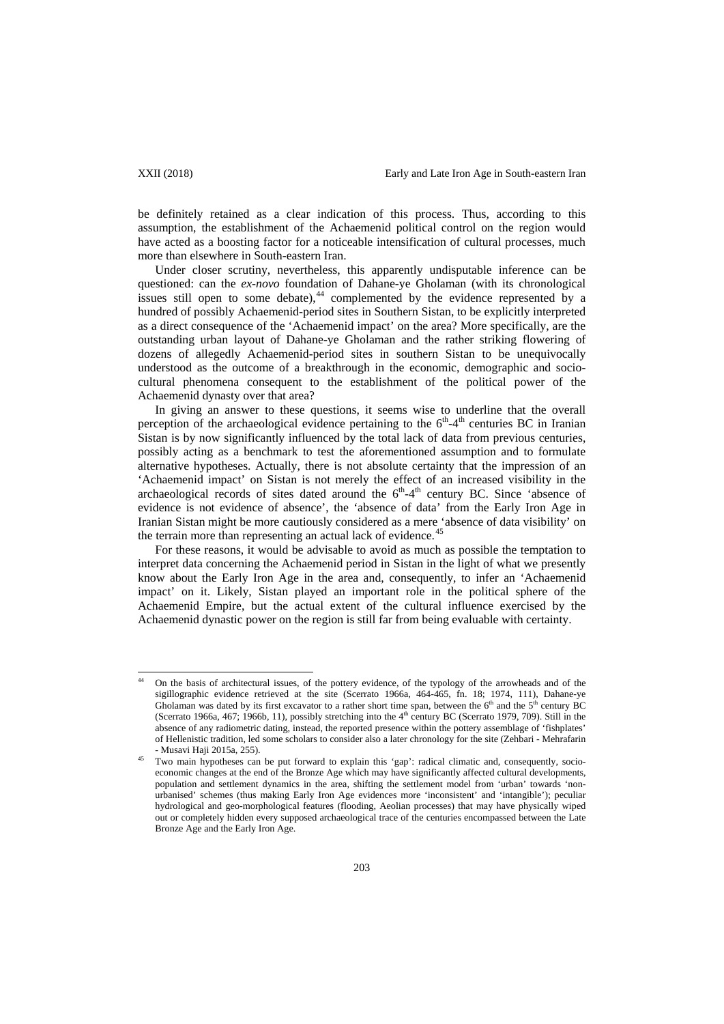be definitely retained as a clear indication of this process. Thus, according to this assumption, the establishment of the Achaemenid political control on the region would have acted as a boosting factor for a noticeable intensification of cultural processes, much more than elsewhere in South-eastern Iran.

Under closer scrutiny, nevertheless, this apparently undisputable inference can be questioned: can the *ex-novo* foundation of Dahane-ye Gholaman (with its chronological issues still open to some debate), $44$  complemented by the evidence represented by a hundred of possibly Achaemenid-period sites in Southern Sistan, to be explicitly interpreted as a direct consequence of the 'Achaemenid impact' on the area? More specifically, are the outstanding urban layout of Dahane-ye Gholaman and the rather striking flowering of dozens of allegedly Achaemenid-period sites in southern Sistan to be unequivocally understood as the outcome of a breakthrough in the economic, demographic and sociocultural phenomena consequent to the establishment of the political power of the Achaemenid dynasty over that area?

In giving an answer to these questions, it seems wise to underline that the overall perception of the archaeological evidence pertaining to the  $6<sup>th</sup>-4<sup>th</sup>$  centuries BC in Iranian Sistan is by now significantly influenced by the total lack of data from previous centuries, possibly acting as a benchmark to test the aforementioned assumption and to formulate alternative hypotheses. Actually, there is not absolute certainty that the impression of an 'Achaemenid impact' on Sistan is not merely the effect of an increased visibility in the archaeological records of sites dated around the  $6<sup>th</sup>-4<sup>th</sup>$  century BC. Since 'absence of evidence is not evidence of absence', the 'absence of data' from the Early Iron Age in Iranian Sistan might be more cautiously considered as a mere 'absence of data visibility' on the terrain more than representing an actual lack of evidence.<sup>[45](#page-6-0)</sup>

For these reasons, it would be advisable to avoid as much as possible the temptation to interpret data concerning the Achaemenid period in Sistan in the light of what we presently know about the Early Iron Age in the area and, consequently, to infer an 'Achaemenid impact' on it. Likely, Sistan played an important role in the political sphere of the Achaemenid Empire, but the actual extent of the cultural influence exercised by the Achaemenid dynastic power on the region is still far from being evaluable with certainty.

 <sup>44</sup> On the basis of architectural issues, of the pottery evidence, of the typology of the arrowheads and of the sigillographic evidence retrieved at the site (Scerrato 1966a, 464-465, fn. 18; 1974, 111), Dahane-ye Gholaman was dated by its first excavator to a rather short time span, between the  $6<sup>th</sup>$  and the  $5<sup>th</sup>$  century BC (Scerrato 1966a, 467; 1966b, 11), possibly stretching into the 4<sup>th</sup> century BC (Scerrato 1979, 709). Still in the absence of any radiometric dating, instead, the reported presence within the pottery assemblage of 'fishplates' of Hellenistic tradition, led some scholars to consider also a later chronology for the site (Zehbari - Mehrafarin - Musavi Haji 2015a, 255).

<span id="page-6-1"></span><span id="page-6-0"></span>Two main hypotheses can be put forward to explain this 'gap': radical climatic and, consequently, socioeconomic changes at the end of the Bronze Age which may have significantly affected cultural developments, population and settlement dynamics in the area, shifting the settlement model from 'urban' towards 'nonurbanised' schemes (thus making Early Iron Age evidences more 'inconsistent' and 'intangible'); peculiar hydrological and geo-morphological features (flooding, Aeolian processes) that may have physically wiped out or completely hidden every supposed archaeological trace of the centuries encompassed between the Late Bronze Age and the Early Iron Age.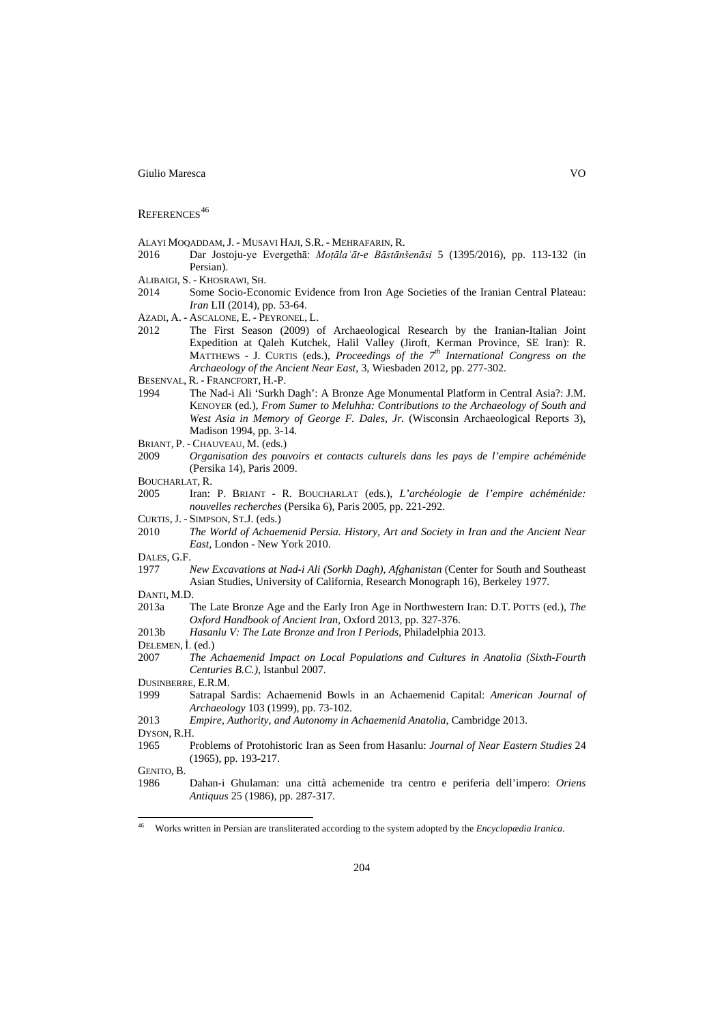### REFERENCES<sup>[46](#page-6-1)</sup>

- ALAYI MOQADDAM, J. MUSAVI HAJI, S.R. MEHRAFARIN, R.
- 2016 Dar Jostoju-ye Evergethā: *Moṭālaʿāt-e Bāstānšenāsi* 5 (1395/2016), pp. 113-132 (in Persian).
- ALIBAIGI, S. KHOSRAWI, SH.
- 2014 Some Socio-Economic Evidence from Iron Age Societies of the Iranian Central Plateau: *Iran* LII (2014), pp. 53-64.
- AZADI, A. ASCALONE, E. PEYRONEL, L.
- 2012 The First Season (2009) of Archaeological Research by the Iranian-Italian Joint Expedition at Qaleh Kutchek, Halil Valley (Jiroft, Kerman Province, SE Iran): R. MATTHEWS - J. CURTIS (eds.), *Proceedings of the 7th International Congress on the Archaeology of the Ancient Near East*, 3, Wiesbaden 2012, pp. 277-302.
- BESENVAL, R. FRANCFORT, H.-P.<br>1994 The Nad-i Ali 'Surkh
- The Nad-i Ali 'Surkh Dagh': A Bronze Age Monumental Platform in Central Asia?: J.M. KENOYER (ed.), *From Sumer to Meluhha: Contributions to the Archaeology of South and West Asia in Memory of George F. Dales, Jr.* (Wisconsin Archaeological Reports 3), Madison 1994, pp. 3-14.
- BRIANT, P. CHAUVEAU, M. (eds.)
- 2009 *Organisation des pouvoirs et contacts culturels dans les pays de l'empire achéménide*  (Persika 14), Paris 2009.
- BOUCHARLAT, R.
- 2005 Iran: P. BRIANT R. BOUCHARLAT (eds.), *L'archéologie de l'empire achéménide: nouvelles recherches* (Persika 6), Paris 2005, pp. 221-292.
- CURTIS, J. SIMPSON, ST.J. (eds.)
- 2010 *The World of Achaemenid Persia. History, Art and Society in Iran and the Ancient Near East*, London - New York 2010.
- DALES, G.F.
- 1977 *New Excavations at Nad-i Ali (Sorkh Dagh), Afghanistan* (Center for South and Southeast Asian Studies, University of California, Research Monograph 16), Berkeley 1977.
- DANTI, M.D.
- 2013a The Late Bronze Age and the Early Iron Age in Northwestern Iran: D.T. POTTS (ed.), *The Oxford Handbook of Ancient Iran*, Oxford 2013, pp. 327-376.
- 2013b *Hasanlu V: The Late Bronze and Iron I Periods*, Philadelphia 2013.
- DELEMEN, İ. (ed.)
- 2007 *The Achaemenid Impact on Local Populations and Cultures in Anatolia (Sixth-Fourth Centuries B.C.)*, Istanbul 2007.
- DUSINBERRE, E.R.M.
- 1999 Satrapal Sardis: Achaemenid Bowls in an Achaemenid Capital: *American Journal of Archaeology* 103 (1999), pp. 73-102.
- 2013 *Empire, Authority, and Autonomy in Achaemenid Anatolia*, Cambridge 2013.
- DYSON, R.H.
- 1965 Problems of Protohistoric Iran as Seen from Hasanlu: *Journal of Near Eastern Studies* 24 (1965), pp. 193-217.
- GENITO, B.<br>1986
- 1986 Dahan-i Ghulaman: una città achemenide tra centro e periferia dell'impero: *Oriens Antiquus* 25 (1986), pp. 287-317.

 <sup>46</sup> Works written in Persian are transliterated according to the system adopted by the *Encyclopædia Iranica*.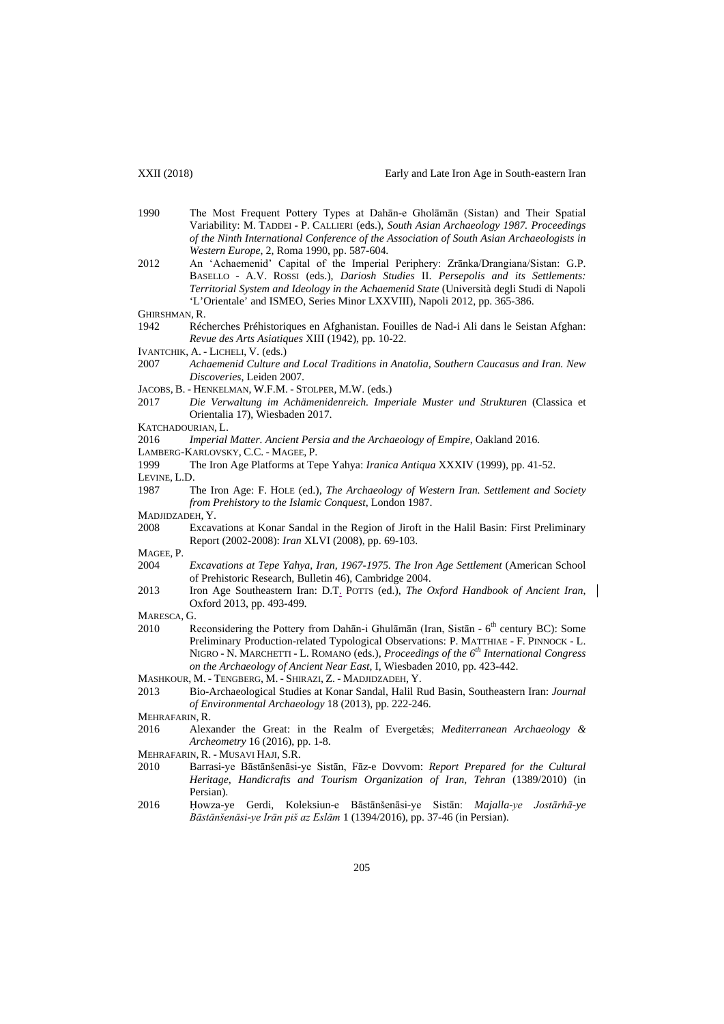1990 The Most Frequent Pottery Types at Dahān-e Gholāmān (Sistan) and Their Spatial Variability: M. TADDEI - P. CALLIERI (eds.), *South Asian Archaeology 1987. Proceedings of the Ninth International Conference of the Association of South Asian Archaeologists in Western Europe*, 2, Roma 1990, pp. 587-604. 2012 An 'Achaemenid' Capital of the Imperial Periphery: Zrānka/Drangiana/Sistan: G.P. BASELLO - A.V. ROSSI (eds.), *Dariosh Studies* II. *Persepolis and its Settlements: Territorial System and Ideology in the Achaemenid State* (Università degli Studi di Napoli 'L'Orientale' and ISMEO, Series Minor LXXVIII), Napoli 2012, pp. 365-386. GHIRSHMAN, R. 1942 Récherches Préhistoriques en Afghanistan. Fouilles de Nad-i Ali dans le Seistan Afghan: *Revue des Arts Asiatiques* XIII (1942), pp. 10-22. IVANTCHIK, A. - LICHELI, V. (eds.) 2007 *Achaemenid Culture and Local Traditions in Anatolia, Southern Caucasus and Iran. New Discoveries*, Leiden 2007. JACOBS, B. - HENKELMAN, W.F.M. - STOLPER, M.W. (eds.) 2017 *Die Verwaltung im Achämenidenreich. Imperiale Muster und Strukturen* (Classica et Orientalia 17), Wiesbaden 2017. KATCHADOURIAN, L. 2016 *Imperial Matter. Ancient Persia and the Archaeology of Empire*, Oakland 2016. LAMBERG-KARLOVSKY, C.C. - MAGEE, P. 1999 The Iron Age Platforms at Tepe Yahya: *Iranica Antiqua* XXXIV (1999), pp. 41-52. LEVINE, L.D. 1987 The Iron Age: F. HOLE (ed.), *The Archaeology of Western Iran. Settlement and Society from Prehistory to the Islamic Conquest*, London 1987. MADJIDZADEH, Y. 2008 Excavations at Konar Sandal in the Region of Jiroft in the Halil Basin: First Preliminary Report (2002-2008): *Iran* XLVI (2008), pp. 69-103. MAGEE, P. 2004 *Excavations at Tepe Yahya, Iran, 1967-1975. The Iron Age Settlement* (American School of Prehistoric Research, Bulletin 46), Cambridge 2004. 2013 Iron Age Southeastern Iran: D.T. POTTS (ed.), *The Oxford Handbook of Ancient Iran*, Oxford 2013, pp. 493-499. MARESCA, G. 2010 Reconsidering the Pottery from Dahān-i Ghulāmān (Iran, Sistān -  $6<sup>th</sup>$  century BC): Some Preliminary Production-related Typological Observations: P. MATTHIAE - F. PINNOCK - L. NIGRO - N. MARCHETTI - L. ROMANO (eds.), *Proceedings of the 6th International Congress on the Archaeology of Ancient Near East*, I, Wiesbaden 2010, pp. 423-442. MASHKOUR, M. - TENGBERG, M. - SHIRAZI, Z. - MADJIDZADEH, Y. 2013 Bio-Archaeological Studies at Konar Sandal, Halil Rud Basin, Southeastern Iran: *Journal of Environmental Archaeology* 18 (2013), pp. 222-246. MEHRAFARIN, R. 2016 Alexander the Great: in the Realm of Evergetǽs; *Mediterranean Archaeology & Archeometry* 16 (2016), pp. 1-8. MEHRAFARIN, R. - MUSAVI HAJI, S.R. 2010 Barrasi-ye Bāstānšenāsi-ye Sistān, Fāz-e Dovvom: *Report Prepared for the Cultural Heritage, Handicrafts and Tourism Organization of Iran, Tehran* (1389/2010) (in Persian). 2016 Ḥowza-ye Gerdi, Koleksiun-e Bāstānšenāsi-ye Sistān: *Majalla-ye Jostārhā-ye Bāstānšenāsi-ye Irān piš az Eslām* 1 (1394/2016), pp. 37-46 (in Persian).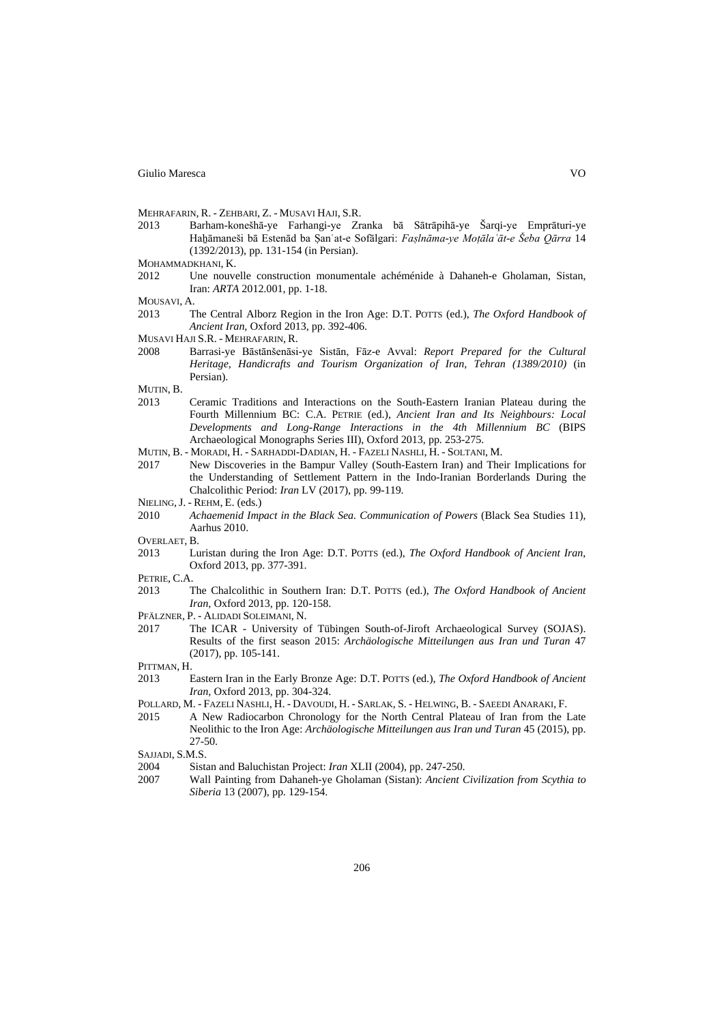MEHRAFARIN, R. - ZEHBARI, Z. - MUSAVI HAJI, S.R.

- 2013 Barham-konešhā-ye Farhangi-ye Zranka bā Sātrāpihā-ye Šarqi-ye Emprāturi-ye Haẖāmaneši bā Estenād ba Ṣanʿat-e Sofālgari: *Faṣlnāma-ye Moṭālaʿāt-e Šeba Qārra* 14 (1392/2013), pp. 131-154 (in Persian).
- MOHAMMADKHANI<sub>K</sub>
- 2012 Une nouvelle construction monumentale achéménide à Dahaneh-e Gholaman, Sistan, Iran: *ARTA* 2012.001, pp. 1-18.
- MOUSAVI, A.<br>2013 T
- 2013 The Central Alborz Region in the Iron Age: D.T. POTTS (ed.), *The Oxford Handbook of Ancient Iran*, Oxford 2013, pp. 392-406.
- MUSAVI HAJI S.R. MEHRAFARIN, R.
- 2008 Barrasi-ye Bāstānšenāsi-ye Sistān, Fāz-e Avval: *Report Prepared for the Cultural Heritage, Handicrafts and Tourism Organization of Iran, Tehran (1389/2010)* (in Persian).
- MUTIN, B.
- 2013 Ceramic Traditions and Interactions on the South-Eastern Iranian Plateau during the Fourth Millennium BC: C.A. PETRIE (ed.), *Ancient Iran and Its Neighbours: Local Developments and Long-Range Interactions in the 4th Millennium BC* (BIPS Archaeological Monographs Series III), Oxford 2013, pp. 253-275.
- MUTIN, B. MORADI, H. SARHADDI-DADIAN, H. FAZELI NASHLI, H. SOLTANI, M.
- 2017 New Discoveries in the Bampur Valley (South-Eastern Iran) and Their Implications for the Understanding of Settlement Pattern in the Indo-Iranian Borderlands During the Chalcolithic Period: *Iran* LV (2017), pp. 99-119.
- NIELING, J. REHM, E. (eds.)
- 2010 *Achaemenid Impact in the Black Sea. Communication of Powers* (Black Sea Studies 11), Aarhus 2010.
- OVERLAET, B.<br>2013 Lu
- 2013 Luristan during the Iron Age: D.T. POTTS (ed.), *The Oxford Handbook of Ancient Iran*, Oxford 2013, pp. 377-391.
- PETRIE, C.A.
- 2013 The Chalcolithic in Southern Iran: D.T. POTTS (ed.), *The Oxford Handbook of Ancient Iran*, Oxford 2013, pp. 120-158.
- PFÄLZNER, P. ALIDADI SOLEIMANI, N.
- 2017 The ICAR University of Tübingen South-of-Jiroft Archaeological Survey (SOJAS). Results of the first season 2015: *Archäologische Mitteilungen aus Iran und Turan* 47 (2017), pp. 105-141.
- PITTMAN, H.
- 2013 Eastern Iran in the Early Bronze Age: D.T. POTTS (ed.), *The Oxford Handbook of Ancient Iran*, Oxford 2013, pp. 304-324.
- POLLARD, M. FAZELI NASHLI, H. DAVOUDI, H. SARLAK, S. HELWING, B. SAEEDI ANARAKI, F.
- 2015 A New Radiocarbon Chronology for the North Central Plateau of Iran from the Late Neolithic to the Iron Age: *Archäologische Mitteilungen aus Iran und Turan* 45 (2015), pp. 27-50.
- SAIJADI, S.M.S.
- 2004 Sistan and Baluchistan Project: *Iran* XLII (2004), pp. 247-250.
- 2007 Wall Painting from Dahaneh-ye Gholaman (Sistan): *Ancient Civilization from Scythia to Siberia* 13 (2007), pp. 129-154.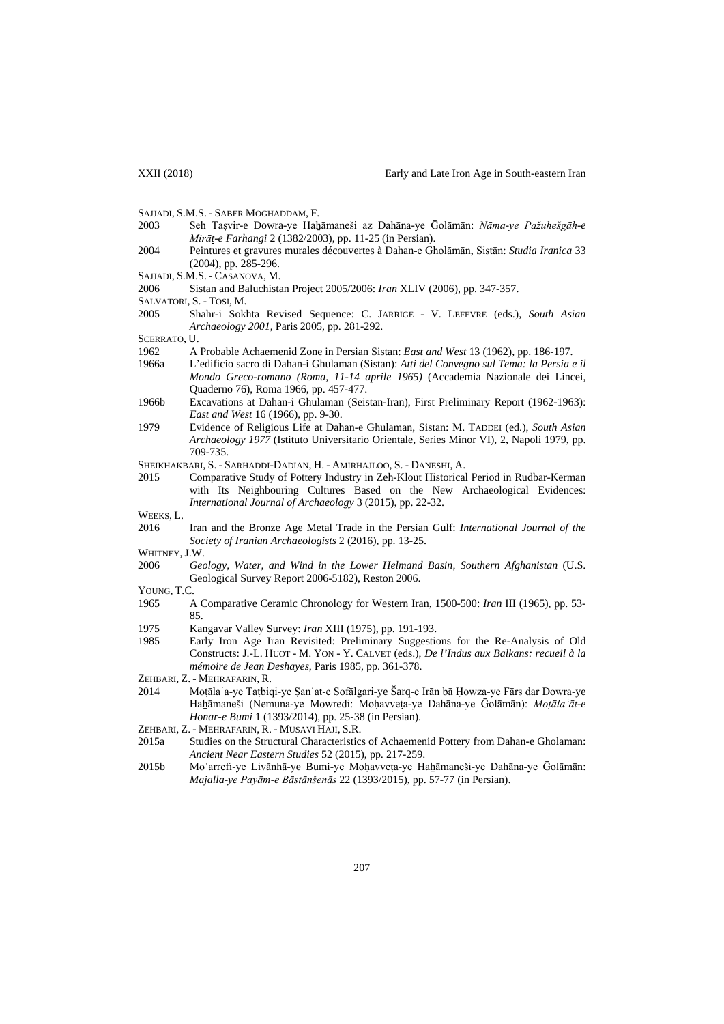- SAJJADI, S.M.S. SABER MOGHADDAM, F.
- 2003 Seh Taṣvir-e Dowra-ye Haẖāmaneši az Dahāna-ye Ḡolāmān: *Nāma-ye Pažuhešgāh-e Mirāt-e Farhangi* 2 (1382/2003), pp. 11-25 (in Persian).
- 2004 Peintures et gravures murales découvertes à Dahan-e Gholāmān, Sistān: *Studia Iranica* 33 (2004), pp. 285-296.
- SAJJADI, S.M.S. CASANOVA, M.
- 2006 Sistan and Baluchistan Project 2005/2006: *Iran* XLIV (2006), pp. 347-357.
- SALVATORI, S. TOSI, M.<br>2005 Shahr-i Sokl
- 2005 Shahr-i Sokhta Revised Sequence: C. JARRIGE V. LEFEVRE (eds.), *South Asian Archaeology 2001*, Paris 2005, pp. 281-292.
- SCERRATO, U.
- 1962 A Probable Achaemenid Zone in Persian Sistan: *East and West* 13 (1962), pp. 186-197.
- 1966a L'edificio sacro di Dahan-i Ghulaman (Sistan): *Atti del Convegno sul Tema: la Persia e il Mondo Greco-romano (Roma, 11-14 aprile 1965)* (Accademia Nazionale dei Lincei, Quaderno 76), Roma 1966, pp. 457-477.
- 1966b Excavations at Dahan-i Ghulaman (Seistan-Iran), First Preliminary Report (1962-1963): *East and West* 16 (1966), pp. 9-30.
- 1979 Evidence of Religious Life at Dahan-e Ghulaman, Sistan: M. TADDEI (ed.), *South Asian Archaeology 1977* (Istituto Universitario Orientale, Series Minor VI), 2, Napoli 1979, pp. 709-735.
- SHEIKHAKBARI, S. SARHADDI-DADIAN, H. AMIRHAJLOO, S. DANESHI, A.
- 2015 Comparative Study of Pottery Industry in Zeh-Klout Historical Period in Rudbar-Kerman with Its Neighbouring Cultures Based on the New Archaeological Evidences: *International Journal of Archaeology* 3 (2015), pp. 22-32.
- WEEKS, L.
- 2016 Iran and the Bronze Age Metal Trade in the Persian Gulf: *International Journal of the Society of Iranian Archaeologists* 2 (2016), pp. 13-25.
- WHITNEY, J.W.
- 2006 *Geology, Water, and Wind in the Lower Helmand Basin, Southern Afghanistan* (U.S. Geological Survey Report 2006-5182), Reston 2006.
- YOUNG, T.C.
- 1965 A Comparative Ceramic Chronology for Western Iran, 1500-500: *Iran* III (1965), pp. 53- 85.
- 1975 Kangavar Valley Survey: *Iran* XIII (1975), pp. 191-193.
- 1985 Early Iron Age Iran Revisited: Preliminary Suggestions for the Re-Analysis of Old Constructs: J.-L. HUOT - M. YON - Y. CALVET (eds.), *De l'Indus aux Balkans: recueil à la mémoire de Jean Deshayes*, Paris 1985, pp. 361-378.
- ZEHBARI, Z. MEHRAFARIN, R.
- 2014 Moṭālaʿa-ye Taṭbiqi-ye Ṣanʿat-e Sofālgari-ye Šarq-e Irān bā Ḥowza-ye Fārs dar Dowra-ye Haẖāmaneši (Nemuna-ye Mowredi: Moḥavveṭa-ye Dahāna-ye Ḡolāmān): *Moṭālaʿāt-e Honar-e Bumi* 1 (1393/2014), pp. 25-38 (in Persian).
- ZEHBARI, Z. MEHRAFARIN, R. MUSAVI HAJI, S.R.
- 2015a Studies on the Structural Characteristics of Achaemenid Pottery from Dahan-e Gholaman: *Ancient Near Eastern Studies* 52 (2015), pp. 217-259.
- 2015b Moʿarrefi-ye Livānhā-ye Bumi-ye Moḥavveṭa-ye Haẖāmaneši-ye Dahāna-ye Ḡolāmān: *Majalla-ye Payām-e Bāstānšenās* 22 (1393/2015), pp. 57-77 (in Persian).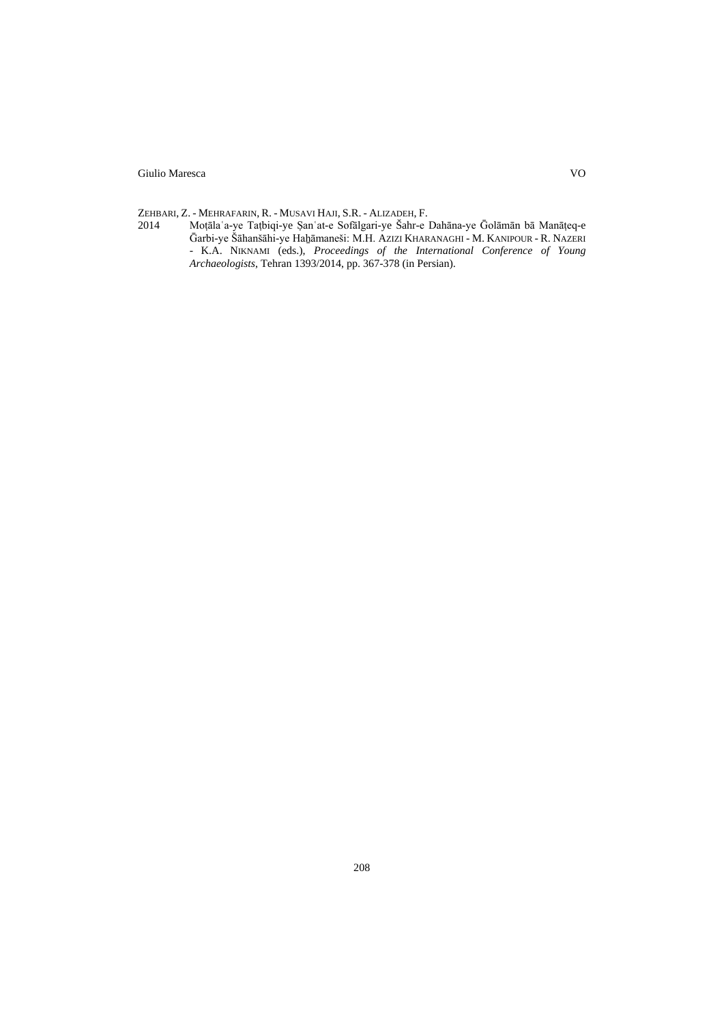ZEHBARI, Z. - MEHRAFARIN, R. - MUSAVI HAJI, S.R. - ALIZADEH, F.<br>2014 Moțāla a-ye Tațbiqi-ye Şan at-e Sofālgari-ye Šahr-e 1 2014 Moṭālaʿa-ye Taṭbiqi-ye Ṣanʿat-e Sofālgari-ye Šahr-e Dahāna-ye Ḡolāmān bā Manāṭeq-e Ḡarbi-ye Šāhanšāhi-ye Haẖāmaneši: M.H. AZIZI KHARANAGHI - M. KANIPOUR - R. NAZERI - K.A. NIKNAMI (eds.), *Proceedings of the International Conference of Young Archaeologists*, Tehran 1393/2014, pp. 367-378 (in Persian).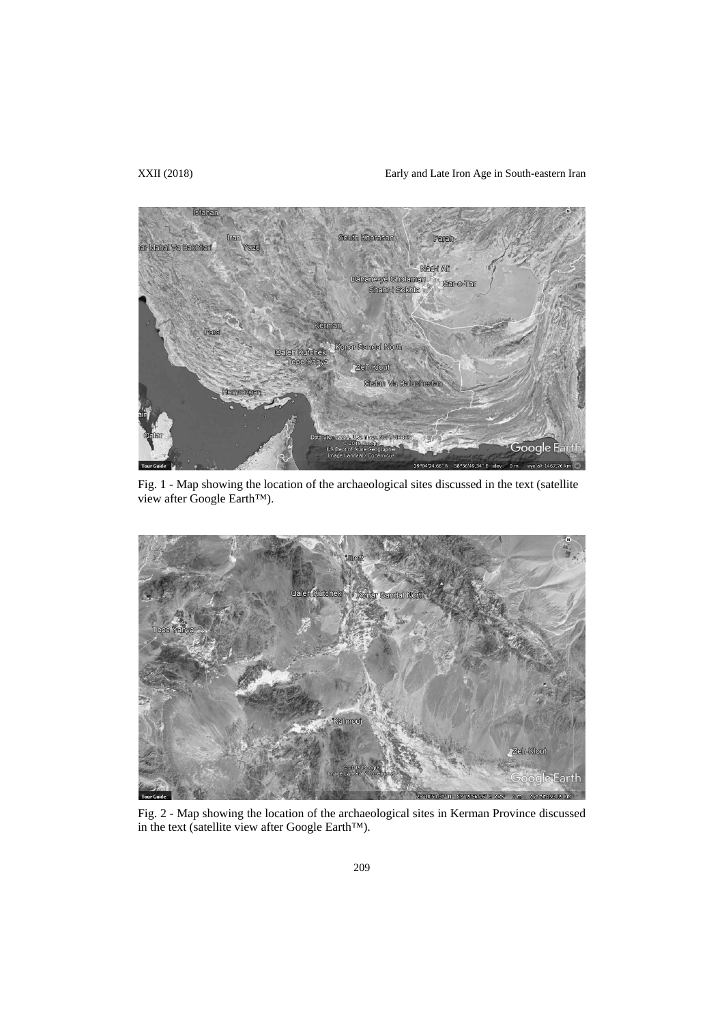# XXII (2018) Early and Late Iron Age in South-eastern Iran



Fig. 1 - Map showing the location of the archaeological sites discussed in the text (satellite view after Google Earth™).



Fig. 2 - Map showing the location of the archaeological sites in Kerman Province discussed in the text (satellite view after Google Earth™).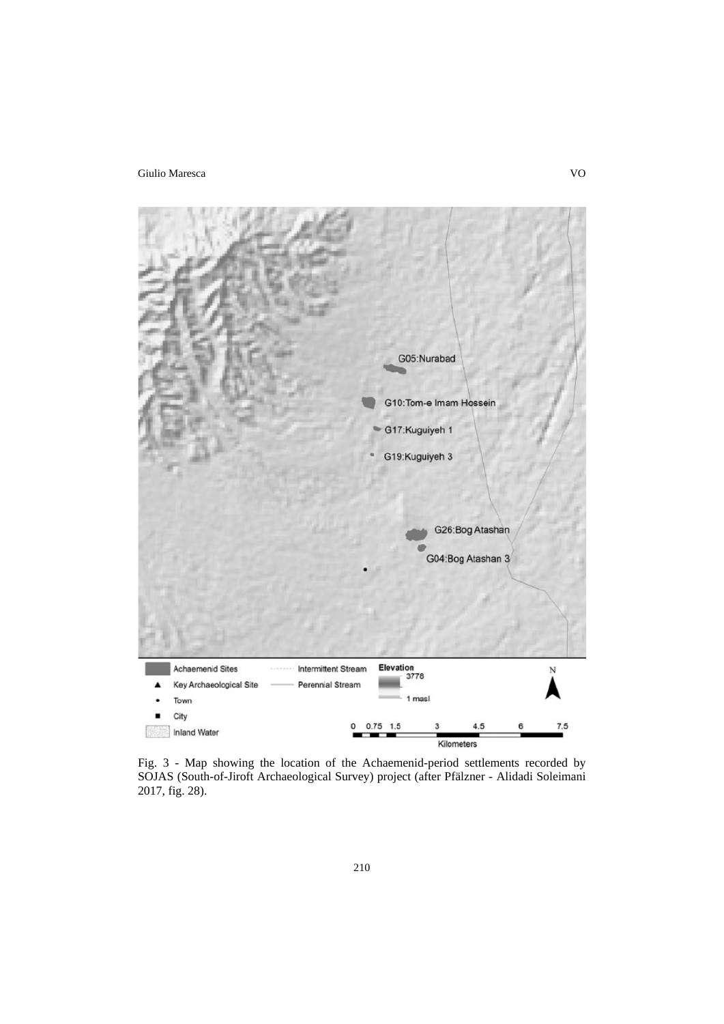

Fig. 3 - Map showing the location of the Achaemenid-period settlements recorded by SOJAS (South-of-Jiroft Archaeological Survey) project (after Pfälzner - Alidadi Soleimani 2017, fig. 28).